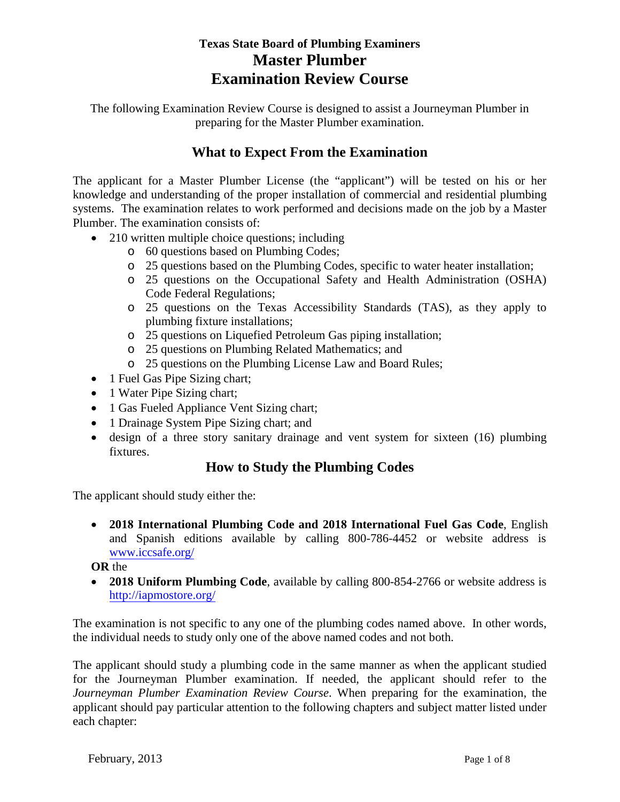# **Texas State Board of Plumbing Examiners Master Plumber Examination Review Course**

The following Examination Review Course is designed to assist a Journeyman Plumber in preparing for the Master Plumber examination.

## **What to Expect From the Examination**

The applicant for a Master Plumber License (the "applicant") will be tested on his or her knowledge and understanding of the proper installation of commercial and residential plumbing systems. The examination relates to work performed and decisions made on the job by a Master Plumber. The examination consists of:

- 210 written multiple choice questions; including
	- o 60 questions based on Plumbing Codes;
	- o 25 questions based on the Plumbing Codes, specific to water heater installation;
	- o 25 questions on the Occupational Safety and Health Administration (OSHA) Code Federal Regulations;
	- o 25 questions on the Texas Accessibility Standards (TAS), as they apply to plumbing fixture installations;
	- o 25 questions on Liquefied Petroleum Gas piping installation;
	- o 25 questions on Plumbing Related Mathematics; and
	- o 25 questions on the Plumbing License Law and Board Rules;
- 1 Fuel Gas Pipe Sizing chart;
- 1 Water Pipe Sizing chart;
- 1 Gas Fueled Appliance Vent Sizing chart;
- 1 Drainage System Pipe Sizing chart; and
- design of a three story sanitary drainage and vent system for sixteen (16) plumbing fixtures.

## **How to Study the Plumbing Codes**

The applicant should study either the:

• **2018 International Plumbing Code and 2018 International Fuel Gas Code**, English and Spanish editions available by calling 800-786-4452 or website address is [www.iccsafe.org/](http://www.iccsafe.org/)

**OR** the

• **2018 Uniform Plumbing Code**, available by calling 800-854-2766 or website address is <http://iapmostore.org/>

The examination is not specific to any one of the plumbing codes named above. In other words, the individual needs to study only one of the above named codes and not both.

The applicant should study a plumbing code in the same manner as when the applicant studied for the Journeyman Plumber examination. If needed, the applicant should refer to the *Journeyman Plumber Examination Review Course*. When preparing for the examination, the applicant should pay particular attention to the following chapters and subject matter listed under each chapter: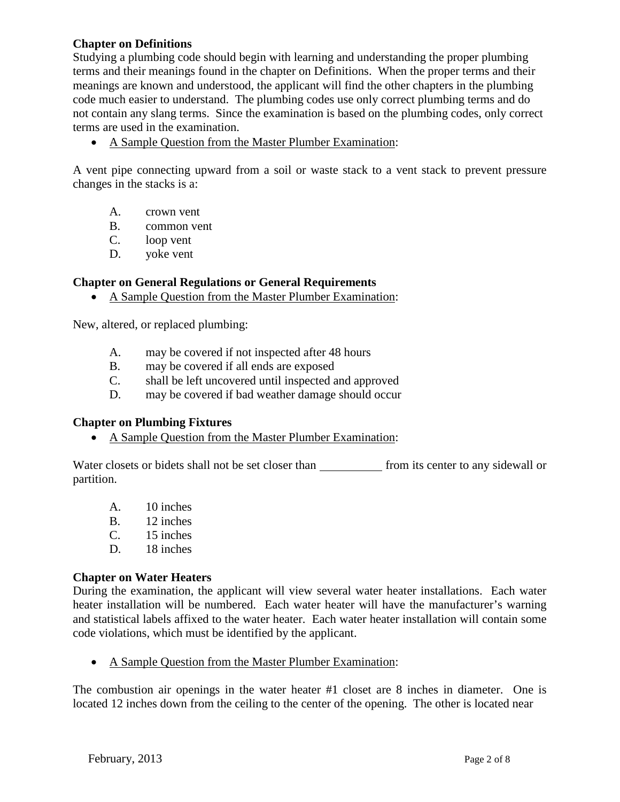### **Chapter on Definitions**

Studying a plumbing code should begin with learning and understanding the proper plumbing terms and their meanings found in the chapter on Definitions. When the proper terms and their meanings are known and understood, the applicant will find the other chapters in the plumbing code much easier to understand. The plumbing codes use only correct plumbing terms and do not contain any slang terms. Since the examination is based on the plumbing codes, only correct terms are used in the examination.

• A Sample Question from the Master Plumber Examination:

A vent pipe connecting upward from a soil or waste stack to a vent stack to prevent pressure changes in the stacks is a:

- A. crown vent
- B. common vent
- C. loop vent
- D. yoke vent

### **Chapter on General Regulations or General Requirements**

• A Sample Question from the Master Plumber Examination:

New, altered, or replaced plumbing:

- A. may be covered if not inspected after 48 hours
- B. may be covered if all ends are exposed
- C. shall be left uncovered until inspected and approved
- D. may be covered if bad weather damage should occur

### **Chapter on Plumbing Fixtures**

• A Sample Question from the Master Plumber Examination:

Water closets or bidets shall not be set closer than from its center to any sidewall or partition.

- A. 10 inches
- B. 12 inches<br>C. 15 inches
- 15 inches
- D. 18 inches

### **Chapter on Water Heaters**

During the examination, the applicant will view several water heater installations. Each water heater installation will be numbered. Each water heater will have the manufacturer's warning and statistical labels affixed to the water heater. Each water heater installation will contain some code violations, which must be identified by the applicant.

• A Sample Question from the Master Plumber Examination:

The combustion air openings in the water heater #1 closet are 8 inches in diameter. One is located 12 inches down from the ceiling to the center of the opening. The other is located near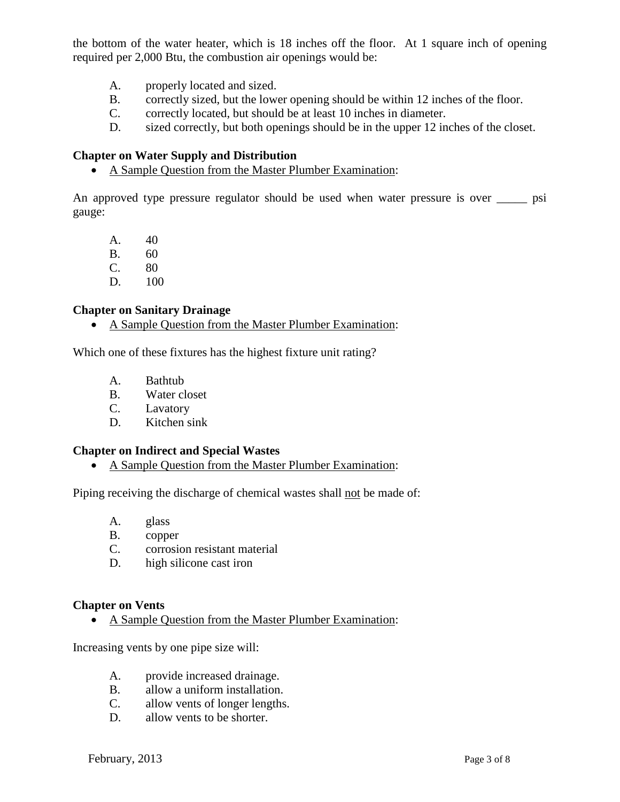the bottom of the water heater, which is 18 inches off the floor. At 1 square inch of opening required per 2,000 Btu, the combustion air openings would be:

- A. properly located and sized.
- B. correctly sized, but the lower opening should be within 12 inches of the floor.
- C. correctly located, but should be at least 10 inches in diameter.
- D. sized correctly, but both openings should be in the upper 12 inches of the closet.

### **Chapter on Water Supply and Distribution**

• A Sample Question from the Master Plumber Examination:

An approved type pressure regulator should be used when water pressure is over \_\_\_\_\_ psi gauge:

A. 40

- B. 60<br>C. 80 80
- D. 100

### **Chapter on Sanitary Drainage**

• A Sample Question from the Master Plumber Examination:

Which one of these fixtures has the highest fixture unit rating?

- A. Bathtub
- B. Water closet
- C. Lavatory
- D. Kitchen sink

#### **Chapter on Indirect and Special Wastes**

• A Sample Question from the Master Plumber Examination:

Piping receiving the discharge of chemical wastes shall not be made of:

- A. glass
- B. copper
- C. corrosion resistant material
- D. high silicone cast iron

#### **Chapter on Vents**

• A Sample Question from the Master Plumber Examination:

Increasing vents by one pipe size will:

- A. provide increased drainage.
- B. allow a uniform installation.
- C. allow vents of longer lengths.
- D. allow vents to be shorter.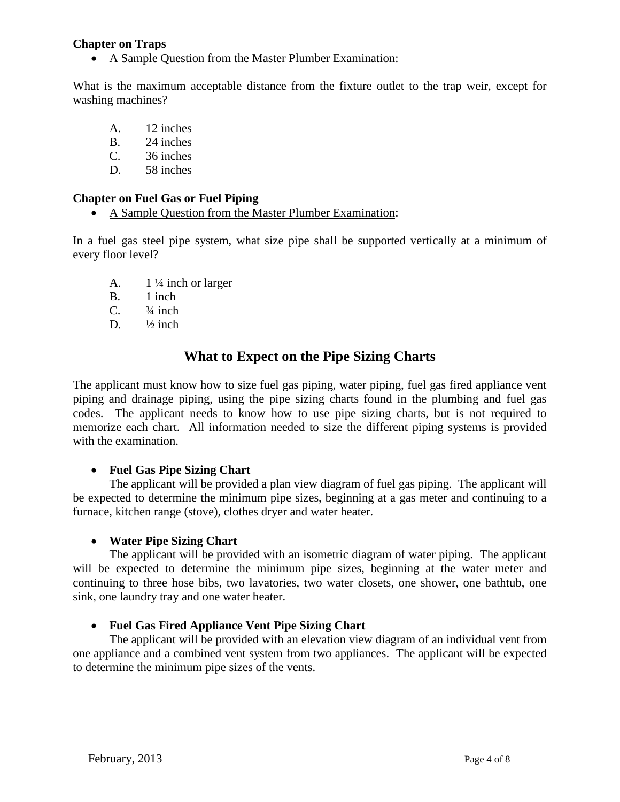### **Chapter on Traps**

• A Sample Question from the Master Plumber Examination:

What is the maximum acceptable distance from the fixture outlet to the trap weir, except for washing machines?

- A. 12 inches
- B. 24 inches
- C. 36 inches
- D. 58 inches

### **Chapter on Fuel Gas or Fuel Piping**

• A Sample Question from the Master Plumber Examination:

In a fuel gas steel pipe system, what size pipe shall be supported vertically at a minimum of every floor level?

- A.  $1\frac{1}{4}$  inch or larger
- B. 1 inch
- C.  $\frac{3}{4}$  inch
- D.  $\frac{1}{2}$  inch

### **What to Expect on the Pipe Sizing Charts**

The applicant must know how to size fuel gas piping, water piping, fuel gas fired appliance vent piping and drainage piping, using the pipe sizing charts found in the plumbing and fuel gas codes. The applicant needs to know how to use pipe sizing charts, but is not required to memorize each chart. All information needed to size the different piping systems is provided with the examination.

### • **Fuel Gas Pipe Sizing Chart**

The applicant will be provided a plan view diagram of fuel gas piping. The applicant will be expected to determine the minimum pipe sizes, beginning at a gas meter and continuing to a furnace, kitchen range (stove), clothes dryer and water heater.

### • **Water Pipe Sizing Chart**

The applicant will be provided with an isometric diagram of water piping. The applicant will be expected to determine the minimum pipe sizes, beginning at the water meter and continuing to three hose bibs, two lavatories, two water closets, one shower, one bathtub, one sink, one laundry tray and one water heater.

### • **Fuel Gas Fired Appliance Vent Pipe Sizing Chart**

The applicant will be provided with an elevation view diagram of an individual vent from one appliance and a combined vent system from two appliances. The applicant will be expected to determine the minimum pipe sizes of the vents.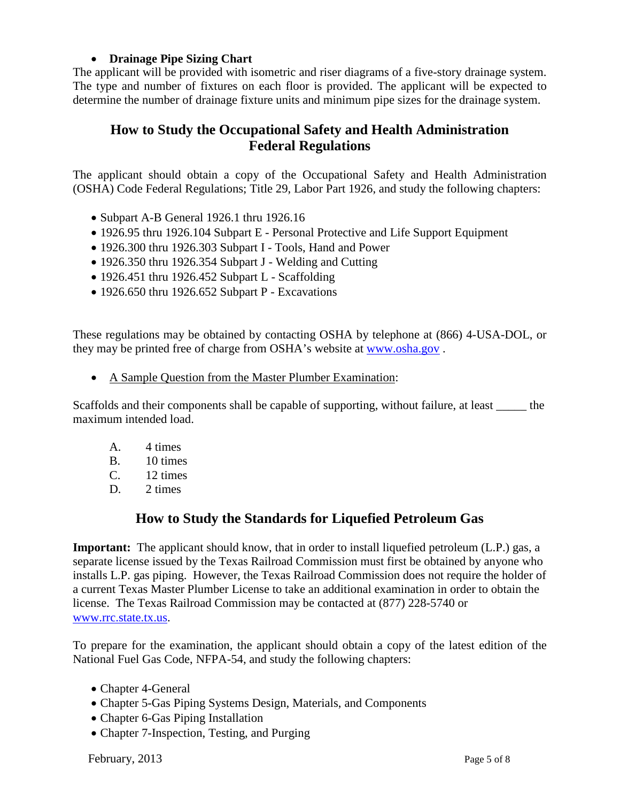### • **Drainage Pipe Sizing Chart**

The applicant will be provided with isometric and riser diagrams of a five-story drainage system. The type and number of fixtures on each floor is provided. The applicant will be expected to determine the number of drainage fixture units and minimum pipe sizes for the drainage system.

## **How to Study the Occupational Safety and Health Administration Federal Regulations**

The applicant should obtain a copy of the Occupational Safety and Health Administration (OSHA) Code Federal Regulations; Title 29, Labor Part 1926, and study the following chapters:

- Subpart A-B General 1926.1 thru 1926.16
- 1926.95 thru 1926.104 Subpart E Personal Protective and Life Support Equipment
- 1926.300 thru 1926.303 Subpart I Tools, Hand and Power
- 1926.350 thru 1926.354 Subpart J Welding and Cutting
- $\bullet$  1926.451 thru 1926.452 Subpart L Scaffolding
- 1926.650 thru 1926.652 Subpart P Excavations

These regulations may be obtained by contacting OSHA by telephone at (866) 4-USA-DOL, or they may be printed free of charge from OSHA's website at [www.osha.gov](http://www.osha.gov/) .

• A Sample Question from the Master Plumber Examination:

Scaffolds and their components shall be capable of supporting, without failure, at least \_\_\_\_\_ the maximum intended load.

- A. 4 times
- B. 10 times
- C. 12 times
- D. 2 times

### **How to Study the Standards for Liquefied Petroleum Gas**

**Important:** The applicant should know, that in order to install liquefied petroleum (L.P.) gas, a separate license issued by the Texas Railroad Commission must first be obtained by anyone who installs L.P. gas piping. However, the Texas Railroad Commission does not require the holder of a current Texas Master Plumber License to take an additional examination in order to obtain the license. The Texas Railroad Commission may be contacted at (877) 228-5740 or [www.rrc.state.tx.us.](http://www.rrc.state.tx.us/)

To prepare for the examination, the applicant should obtain a copy of the latest edition of the National Fuel Gas Code, NFPA-54, and study the following chapters:

- Chapter 4-General
- Chapter 5-Gas Piping Systems Design, Materials, and Components
- Chapter 6-Gas Piping Installation
- Chapter 7-Inspection, Testing, and Purging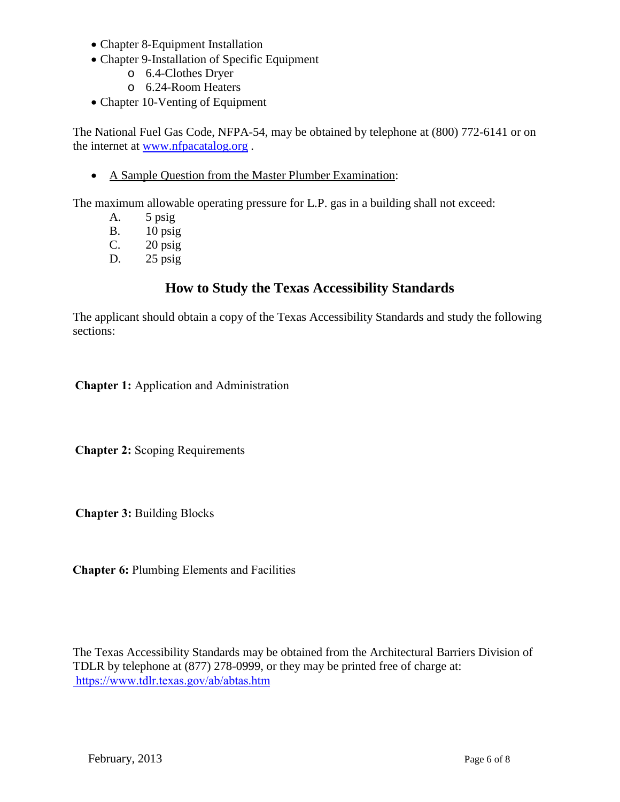- Chapter 8-Equipment Installation
- Chapter 9-Installation of Specific Equipment
	- o 6.4-Clothes Dryer
	- o 6.24-Room Heaters
- Chapter 10-Venting of Equipment

The National Fuel Gas Code, NFPA-54, may be obtained by telephone at (800) 772-6141 or on the internet at [www.nfpacatalog.org](http://www.nfpacatalog.org/) .

• A Sample Question from the Master Plumber Examination:

The maximum allowable operating pressure for L.P. gas in a building shall not exceed:

- A. 5 psig
- B. 10 psig
- C. 20 psig
- D. 25 psig

## **How to Study the Texas Accessibility Standards**

The applicant should obtain a copy of the Texas Accessibility Standards and study the following sections:

**Chapter 1:** Application and Administration

**Chapter 2:** Scoping Requirements

**Chapter 3:** Building Blocks

**Chapter 6:** Plumbing Elements and Facilities

The Texas Accessibility Standards may be obtained from the Architectural Barriers Division of TDLR by telephone at (877) 278-0999, or they may be printed free of charge at:  [https://www.tdlr.texas.gov/ab/abtas.h](http://www.license.state.tx.us/ab/abtas.htm)tm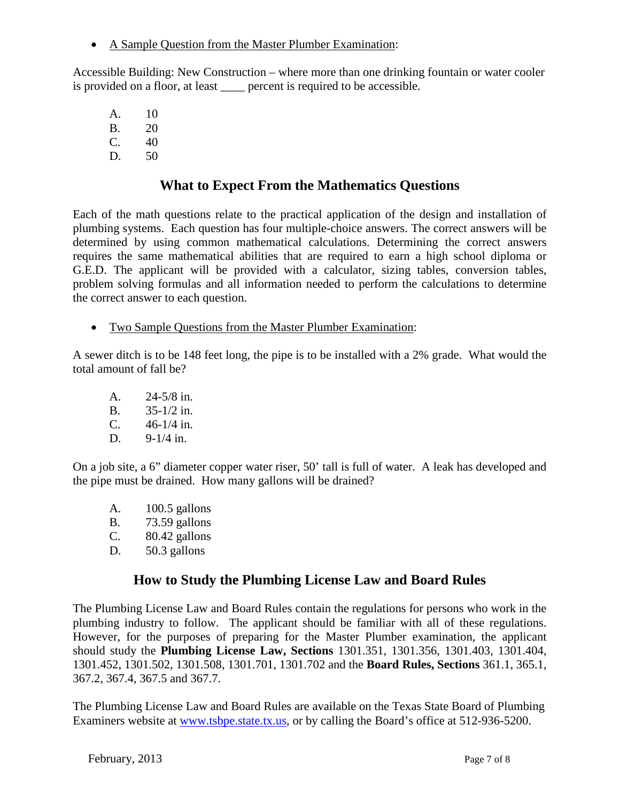• A Sample Question from the Master Plumber Examination:

Accessible Building: New Construction – where more than one drinking fountain or water cooler is provided on a floor, at least <u>equired</u> to be accessible.

A. 10 B. 20  $C. 40$ D. 50

# **What to Expect From the Mathematics Questions**

Each of the math questions relate to the practical application of the design and installation of plumbing systems. Each question has four multiple-choice answers. The correct answers will be determined by using common mathematical calculations. Determining the correct answers requires the same mathematical abilities that are required to earn a high school diploma or G.E.D. The applicant will be provided with a calculator, sizing tables, conversion tables, problem solving formulas and all information needed to perform the calculations to determine the correct answer to each question.

• Two Sample Questions from the Master Plumber Examination:

A sewer ditch is to be 148 feet long, the pipe is to be installed with a 2% grade. What would the total amount of fall be?

A. 24-5/8 in. B. 35-1/2 in. C. 46-1/4 in. D. 9-1/4 in.

On a job site, a 6" diameter copper water riser, 50' tall is full of water. A leak has developed and the pipe must be drained. How many gallons will be drained?

- A. 100.5 gallons B. 73.59 gallons  $C.$  80.42 gallons
- D. 50.3 gallons

## **How to Study the Plumbing License Law and Board Rules**

The Plumbing License Law and Board Rules contain the regulations for persons who work in the plumbing industry to follow. The applicant should be familiar with all of these regulations. However, for the purposes of preparing for the Master Plumber examination, the applicant should study the **Plumbing License Law, Sections** 1301.351, 1301.356, 1301.403, 1301.404, 1301.452, 1301.502, 1301.508, 1301.701, 1301.702 and the **Board Rules, Sections** 361.1, 365.1, 367.2, 367.4, 367.5 and 367.7.

The Plumbing License Law and Board Rules are available on the Texas State Board of Plumbing Examiners website at [www.tsbpe.state.tx.us,](http://www.tsbpe.state.tx.us/) or by calling the Board's office at 512-936-5200.